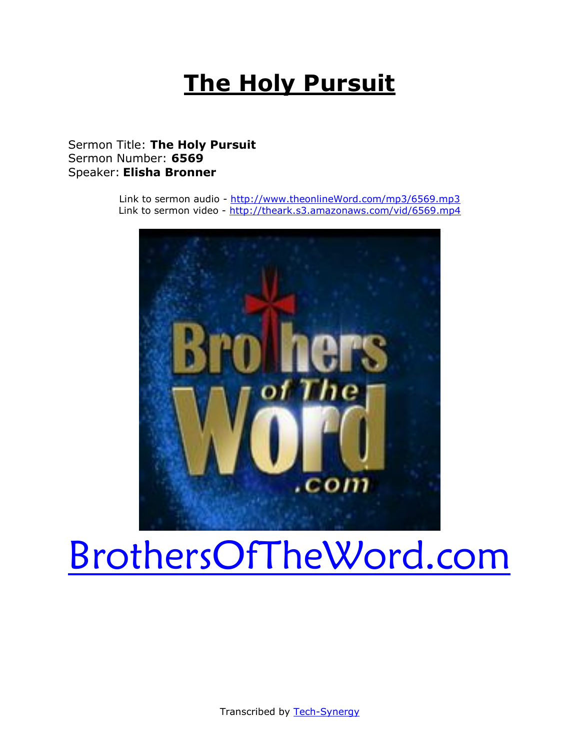# **The Holy Pursuit**

# Sermon Title: **The Holy Pursuit** Sermon Number: **6569** Speaker: **Elisha Bronner**

Link to sermon audio - [http://www.theonlineWord.com/mp3/6569.mp3](http://www.theonlineword.com/mp3/6569.mp3) Link to sermon video - <http://theark.s3.amazonaws.com/vid/6569.mp4>



# [BrothersOfTheWord.com](http://www.brothersoftheword.com/)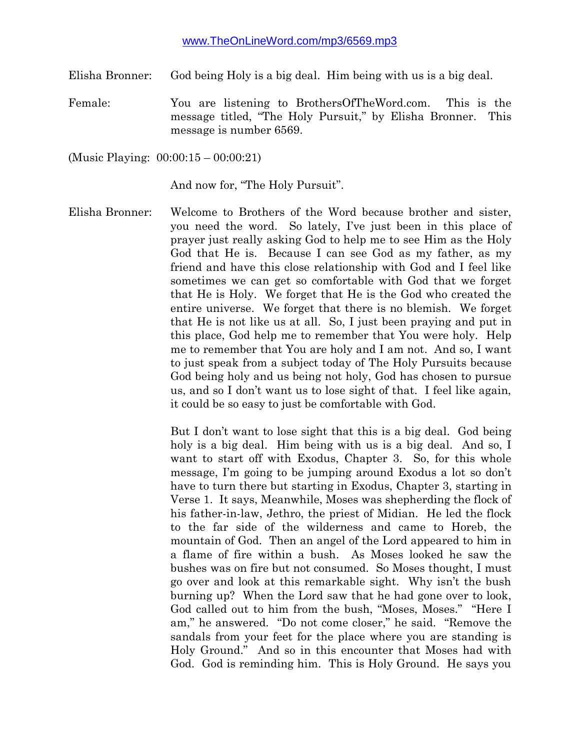Elisha Bronner: God being Holy is a big deal. Him being with us is a big deal.

Female: You are listening to BrothersOfTheWord.com. This is the message titled, "The Holy Pursuit," by Elisha Bronner. This message is number 6569.

(Music Playing: 00:00:15 – 00:00:21)

And now for, "The Holy Pursuit".

Elisha Bronner: Welcome to Brothers of the Word because brother and sister, you need the word. So lately, I've just been in this place of prayer just really asking God to help me to see Him as the Holy God that He is. Because I can see God as my father, as my friend and have this close relationship with God and I feel like sometimes we can get so comfortable with God that we forget that He is Holy. We forget that He is the God who created the entire universe. We forget that there is no blemish. We forget that He is not like us at all. So, I just been praying and put in this place, God help me to remember that You were holy. Help me to remember that You are holy and I am not. And so, I want to just speak from a subject today of The Holy Pursuits because God being holy and us being not holy, God has chosen to pursue us, and so I don't want us to lose sight of that. I feel like again, it could be so easy to just be comfortable with God.

> But I don't want to lose sight that this is a big deal. God being holy is a big deal. Him being with us is a big deal. And so, I want to start off with Exodus, Chapter 3. So, for this whole message, I'm going to be jumping around Exodus a lot so don't have to turn there but starting in Exodus, Chapter 3, starting in Verse 1. It says, Meanwhile, Moses was shepherding the flock of his father-in-law, Jethro, the priest of Midian. He led the flock to the far side of the wilderness and came to Horeb, the mountain of God. Then an angel of the Lord appeared to him in a flame of fire within a bush. As Moses looked he saw the bushes was on fire but not consumed. So Moses thought, I must go over and look at this remarkable sight. Why isn't the bush burning up? When the Lord saw that he had gone over to look, God called out to him from the bush, "Moses, Moses." "Here I am," he answered. "Do not come closer," he said. "Remove the sandals from your feet for the place where you are standing is Holy Ground." And so in this encounter that Moses had with God. God is reminding him. This is Holy Ground. He says you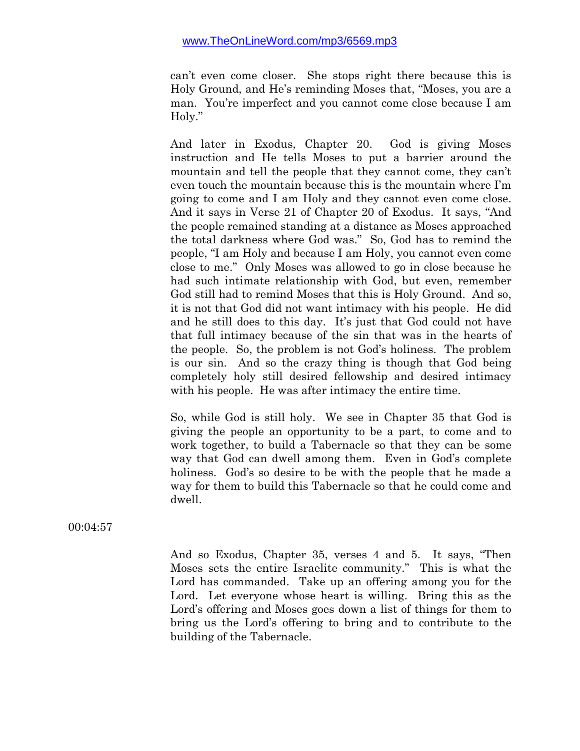can't even come closer. She stops right there because this is Holy Ground, and He's reminding Moses that, "Moses, you are a man. You're imperfect and you cannot come close because I am Holy."

And later in Exodus, Chapter 20. God is giving Moses instruction and He tells Moses to put a barrier around the mountain and tell the people that they cannot come, they can't even touch the mountain because this is the mountain where I'm going to come and I am Holy and they cannot even come close. And it says in Verse 21 of Chapter 20 of Exodus. It says, "And the people remained standing at a distance as Moses approached the total darkness where God was." So, God has to remind the people, "I am Holy and because I am Holy, you cannot even come close to me." Only Moses was allowed to go in close because he had such intimate relationship with God, but even, remember God still had to remind Moses that this is Holy Ground. And so, it is not that God did not want intimacy with his people. He did and he still does to this day. It's just that God could not have that full intimacy because of the sin that was in the hearts of the people. So, the problem is not God's holiness. The problem is our sin. And so the crazy thing is though that God being completely holy still desired fellowship and desired intimacy with his people. He was after intimacy the entire time.

So, while God is still holy. We see in Chapter 35 that God is giving the people an opportunity to be a part, to come and to work together, to build a Tabernacle so that they can be some way that God can dwell among them. Even in God's complete holiness. God's so desire to be with the people that he made a way for them to build this Tabernacle so that he could come and dwell.

00:04:57

And so Exodus, Chapter 35, verses 4 and 5. It says, "Then Moses sets the entire Israelite community." This is what the Lord has commanded. Take up an offering among you for the Lord. Let everyone whose heart is willing. Bring this as the Lord's offering and Moses goes down a list of things for them to bring us the Lord's offering to bring and to contribute to the building of the Tabernacle.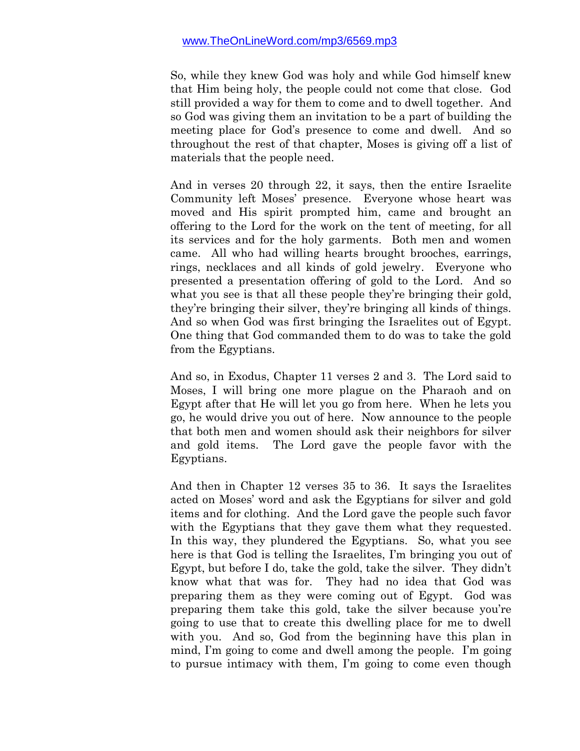So, while they knew God was holy and while God himself knew that Him being holy, the people could not come that close. God still provided a way for them to come and to dwell together. And so God was giving them an invitation to be a part of building the meeting place for God's presence to come and dwell. And so throughout the rest of that chapter, Moses is giving off a list of materials that the people need.

And in verses 20 through 22, it says, then the entire Israelite Community left Moses' presence. Everyone whose heart was moved and His spirit prompted him, came and brought an offering to the Lord for the work on the tent of meeting, for all its services and for the holy garments. Both men and women came. All who had willing hearts brought brooches, earrings, rings, necklaces and all kinds of gold jewelry. Everyone who presented a presentation offering of gold to the Lord. And so what you see is that all these people they're bringing their gold, they're bringing their silver, they're bringing all kinds of things. And so when God was first bringing the Israelites out of Egypt. One thing that God commanded them to do was to take the gold from the Egyptians.

And so, in Exodus, Chapter 11 verses 2 and 3. The Lord said to Moses, I will bring one more plague on the Pharaoh and on Egypt after that He will let you go from here. When he lets you go, he would drive you out of here. Now announce to the people that both men and women should ask their neighbors for silver and gold items. The Lord gave the people favor with the Egyptians.

And then in Chapter 12 verses 35 to 36. It says the Israelites acted on Moses' word and ask the Egyptians for silver and gold items and for clothing. And the Lord gave the people such favor with the Egyptians that they gave them what they requested. In this way, they plundered the Egyptians. So, what you see here is that God is telling the Israelites, I'm bringing you out of Egypt, but before I do, take the gold, take the silver. They didn't know what that was for. They had no idea that God was preparing them as they were coming out of Egypt. God was preparing them take this gold, take the silver because you're going to use that to create this dwelling place for me to dwell with you. And so, God from the beginning have this plan in mind, I'm going to come and dwell among the people. I'm going to pursue intimacy with them, I'm going to come even though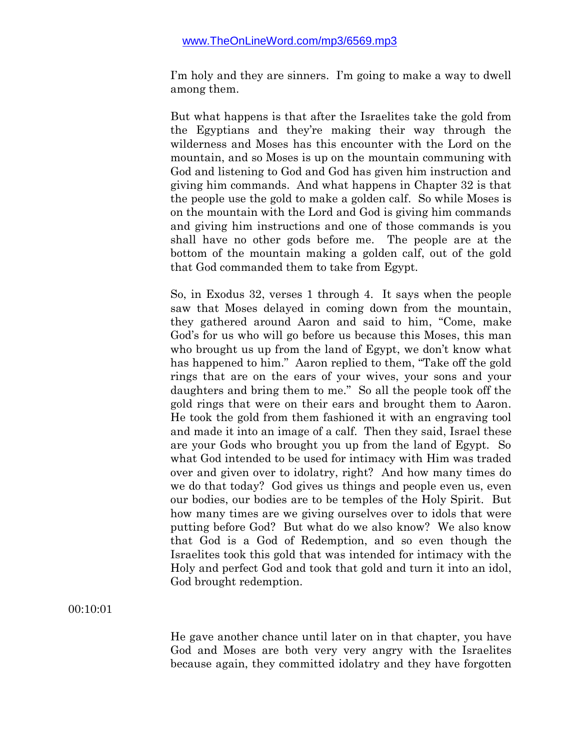I'm holy and they are sinners. I'm going to make a way to dwell among them.

But what happens is that after the Israelites take the gold from the Egyptians and they're making their way through the wilderness and Moses has this encounter with the Lord on the mountain, and so Moses is up on the mountain communing with God and listening to God and God has given him instruction and giving him commands. And what happens in Chapter 32 is that the people use the gold to make a golden calf. So while Moses is on the mountain with the Lord and God is giving him commands and giving him instructions and one of those commands is you shall have no other gods before me. The people are at the bottom of the mountain making a golden calf, out of the gold that God commanded them to take from Egypt.

So, in Exodus 32, verses 1 through 4. It says when the people saw that Moses delayed in coming down from the mountain, they gathered around Aaron and said to him, "Come, make God's for us who will go before us because this Moses, this man who brought us up from the land of Egypt, we don't know what has happened to him." Aaron replied to them, "Take off the gold rings that are on the ears of your wives, your sons and your daughters and bring them to me." So all the people took off the gold rings that were on their ears and brought them to Aaron. He took the gold from them fashioned it with an engraving tool and made it into an image of a calf. Then they said, Israel these are your Gods who brought you up from the land of Egypt. So what God intended to be used for intimacy with Him was traded over and given over to idolatry, right? And how many times do we do that today? God gives us things and people even us, even our bodies, our bodies are to be temples of the Holy Spirit. But how many times are we giving ourselves over to idols that were putting before God? But what do we also know? We also know that God is a God of Redemption, and so even though the Israelites took this gold that was intended for intimacy with the Holy and perfect God and took that gold and turn it into an idol, God brought redemption.

#### 00:10:01

He gave another chance until later on in that chapter, you have God and Moses are both very very angry with the Israelites because again, they committed idolatry and they have forgotten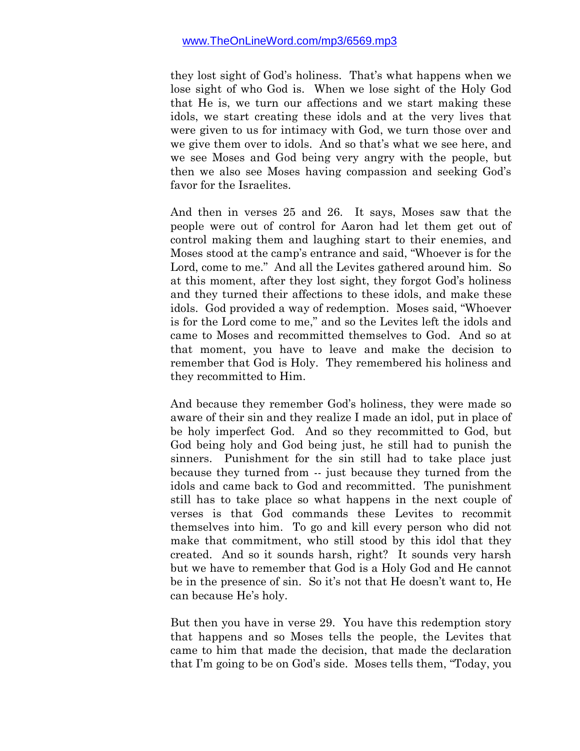they lost sight of God's holiness. That's what happens when we lose sight of who God is. When we lose sight of the Holy God that He is, we turn our affections and we start making these idols, we start creating these idols and at the very lives that were given to us for intimacy with God, we turn those over and we give them over to idols. And so that's what we see here, and we see Moses and God being very angry with the people, but then we also see Moses having compassion and seeking God's favor for the Israelites.

And then in verses 25 and 26. It says, Moses saw that the people were out of control for Aaron had let them get out of control making them and laughing start to their enemies, and Moses stood at the camp's entrance and said, "Whoever is for the Lord, come to me." And all the Levites gathered around him. So at this moment, after they lost sight, they forgot God's holiness and they turned their affections to these idols, and make these idols. God provided a way of redemption. Moses said, "Whoever is for the Lord come to me," and so the Levites left the idols and came to Moses and recommitted themselves to God. And so at that moment, you have to leave and make the decision to remember that God is Holy. They remembered his holiness and they recommitted to Him.

And because they remember God's holiness, they were made so aware of their sin and they realize I made an idol, put in place of be holy imperfect God. And so they recommitted to God, but God being holy and God being just, he still had to punish the sinners. Punishment for the sin still had to take place just because they turned from -- just because they turned from the idols and came back to God and recommitted. The punishment still has to take place so what happens in the next couple of verses is that God commands these Levites to recommit themselves into him. To go and kill every person who did not make that commitment, who still stood by this idol that they created. And so it sounds harsh, right? It sounds very harsh but we have to remember that God is a Holy God and He cannot be in the presence of sin. So it's not that He doesn't want to, He can because He's holy.

But then you have in verse 29. You have this redemption story that happens and so Moses tells the people, the Levites that came to him that made the decision, that made the declaration that I'm going to be on God's side. Moses tells them, "Today, you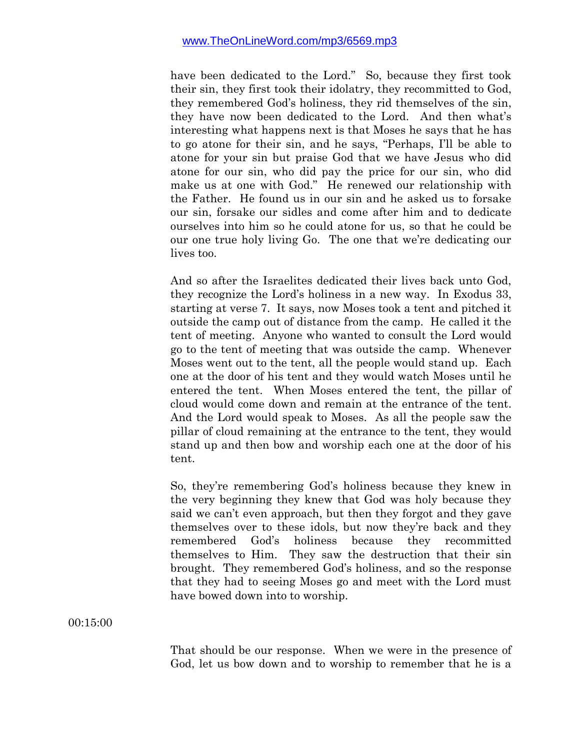have been dedicated to the Lord." So, because they first took their sin, they first took their idolatry, they recommitted to God, they remembered God's holiness, they rid themselves of the sin, they have now been dedicated to the Lord. And then what's interesting what happens next is that Moses he says that he has to go atone for their sin, and he says, "Perhaps, I'll be able to atone for your sin but praise God that we have Jesus who did atone for our sin, who did pay the price for our sin, who did make us at one with God." He renewed our relationship with the Father. He found us in our sin and he asked us to forsake our sin, forsake our sidles and come after him and to dedicate ourselves into him so he could atone for us, so that he could be our one true holy living Go. The one that we're dedicating our lives too.

And so after the Israelites dedicated their lives back unto God, they recognize the Lord's holiness in a new way. In Exodus 33, starting at verse 7. It says, now Moses took a tent and pitched it outside the camp out of distance from the camp. He called it the tent of meeting. Anyone who wanted to consult the Lord would go to the tent of meeting that was outside the camp. Whenever Moses went out to the tent, all the people would stand up. Each one at the door of his tent and they would watch Moses until he entered the tent. When Moses entered the tent, the pillar of cloud would come down and remain at the entrance of the tent. And the Lord would speak to Moses. As all the people saw the pillar of cloud remaining at the entrance to the tent, they would stand up and then bow and worship each one at the door of his tent.

So, they're remembering God's holiness because they knew in the very beginning they knew that God was holy because they said we can't even approach, but then they forgot and they gave themselves over to these idols, but now they're back and they remembered God's holiness because they recommitted themselves to Him. They saw the destruction that their sin brought. They remembered God's holiness, and so the response that they had to seeing Moses go and meet with the Lord must have bowed down into to worship.

00:15:00

That should be our response. When we were in the presence of God, let us bow down and to worship to remember that he is a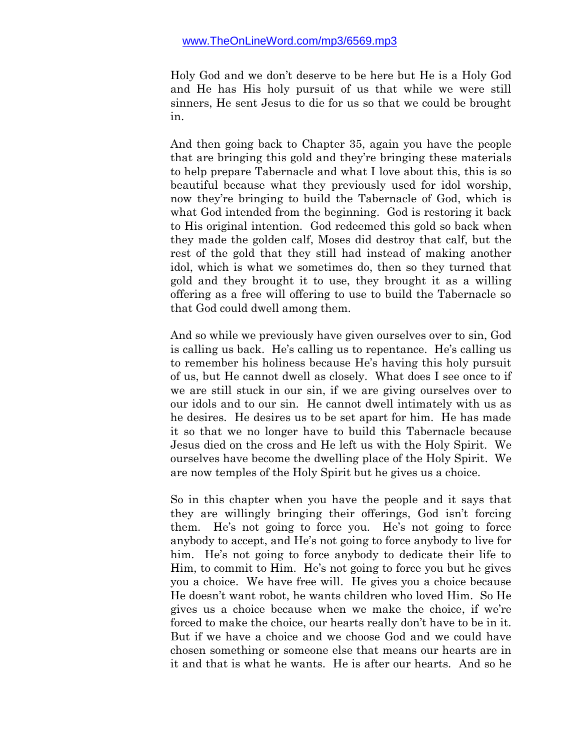Holy God and we don't deserve to be here but He is a Holy God and He has His holy pursuit of us that while we were still sinners, He sent Jesus to die for us so that we could be brought in.

And then going back to Chapter 35, again you have the people that are bringing this gold and they're bringing these materials to help prepare Tabernacle and what I love about this, this is so beautiful because what they previously used for idol worship, now they're bringing to build the Tabernacle of God, which is what God intended from the beginning. God is restoring it back to His original intention. God redeemed this gold so back when they made the golden calf, Moses did destroy that calf, but the rest of the gold that they still had instead of making another idol, which is what we sometimes do, then so they turned that gold and they brought it to use, they brought it as a willing offering as a free will offering to use to build the Tabernacle so that God could dwell among them.

And so while we previously have given ourselves over to sin, God is calling us back. He's calling us to repentance. He's calling us to remember his holiness because He's having this holy pursuit of us, but He cannot dwell as closely. What does I see once to if we are still stuck in our sin, if we are giving ourselves over to our idols and to our sin. He cannot dwell intimately with us as he desires. He desires us to be set apart for him. He has made it so that we no longer have to build this Tabernacle because Jesus died on the cross and He left us with the Holy Spirit. We ourselves have become the dwelling place of the Holy Spirit. We are now temples of the Holy Spirit but he gives us a choice.

So in this chapter when you have the people and it says that they are willingly bringing their offerings, God isn't forcing them. He's not going to force you. He's not going to force anybody to accept, and He's not going to force anybody to live for him. He's not going to force anybody to dedicate their life to Him, to commit to Him. He's not going to force you but he gives you a choice. We have free will. He gives you a choice because He doesn't want robot, he wants children who loved Him. So He gives us a choice because when we make the choice, if we're forced to make the choice, our hearts really don't have to be in it. But if we have a choice and we choose God and we could have chosen something or someone else that means our hearts are in it and that is what he wants. He is after our hearts. And so he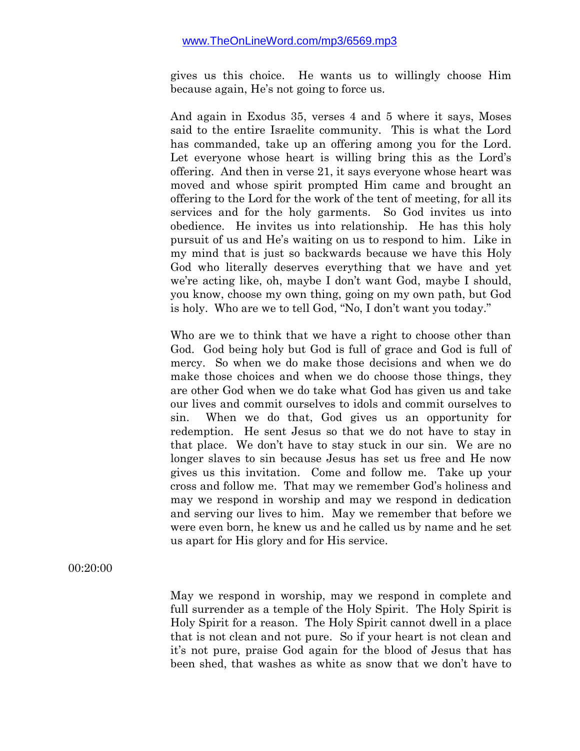gives us this choice. He wants us to willingly choose Him because again, He's not going to force us.

And again in Exodus 35, verses 4 and 5 where it says, Moses said to the entire Israelite community. This is what the Lord has commanded, take up an offering among you for the Lord. Let everyone whose heart is willing bring this as the Lord's offering. And then in verse 21, it says everyone whose heart was moved and whose spirit prompted Him came and brought an offering to the Lord for the work of the tent of meeting, for all its services and for the holy garments. So God invites us into obedience. He invites us into relationship. He has this holy pursuit of us and He's waiting on us to respond to him. Like in my mind that is just so backwards because we have this Holy God who literally deserves everything that we have and yet we're acting like, oh, maybe I don't want God, maybe I should, you know, choose my own thing, going on my own path, but God is holy. Who are we to tell God, "No, I don't want you today."

Who are we to think that we have a right to choose other than God. God being holy but God is full of grace and God is full of mercy. So when we do make those decisions and when we do make those choices and when we do choose those things, they are other God when we do take what God has given us and take our lives and commit ourselves to idols and commit ourselves to sin. When we do that, God gives us an opportunity for redemption. He sent Jesus so that we do not have to stay in that place. We don't have to stay stuck in our sin. We are no longer slaves to sin because Jesus has set us free and He now gives us this invitation. Come and follow me. Take up your cross and follow me. That may we remember God's holiness and may we respond in worship and may we respond in dedication and serving our lives to him. May we remember that before we were even born, he knew us and he called us by name and he set us apart for His glory and for His service.

00:20:00

May we respond in worship, may we respond in complete and full surrender as a temple of the Holy Spirit. The Holy Spirit is Holy Spirit for a reason. The Holy Spirit cannot dwell in a place that is not clean and not pure. So if your heart is not clean and it's not pure, praise God again for the blood of Jesus that has been shed, that washes as white as snow that we don't have to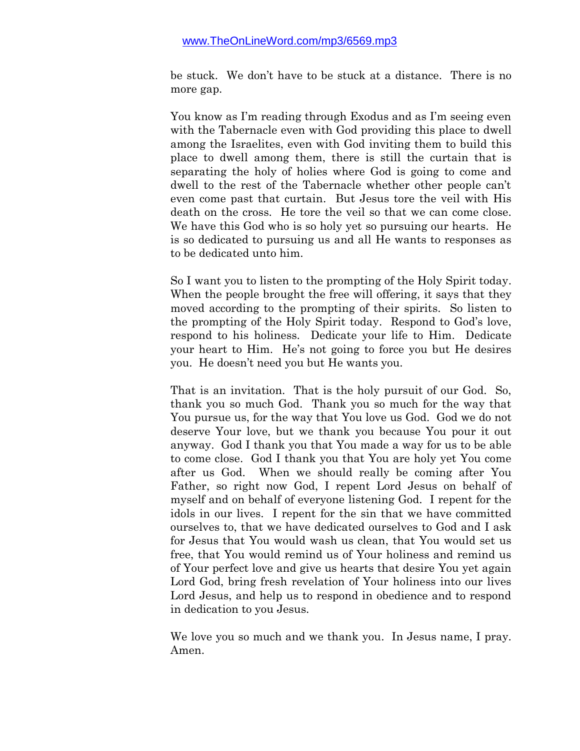be stuck. We don't have to be stuck at a distance. There is no more gap.

You know as I'm reading through Exodus and as I'm seeing even with the Tabernacle even with God providing this place to dwell among the Israelites, even with God inviting them to build this place to dwell among them, there is still the curtain that is separating the holy of holies where God is going to come and dwell to the rest of the Tabernacle whether other people can't even come past that curtain. But Jesus tore the veil with His death on the cross. He tore the veil so that we can come close. We have this God who is so holy yet so pursuing our hearts. He is so dedicated to pursuing us and all He wants to responses as to be dedicated unto him.

So I want you to listen to the prompting of the Holy Spirit today. When the people brought the free will offering, it says that they moved according to the prompting of their spirits. So listen to the prompting of the Holy Spirit today. Respond to God's love, respond to his holiness. Dedicate your life to Him. Dedicate your heart to Him. He's not going to force you but He desires you. He doesn't need you but He wants you.

That is an invitation. That is the holy pursuit of our God. So, thank you so much God. Thank you so much for the way that You pursue us, for the way that You love us God. God we do not deserve Your love, but we thank you because You pour it out anyway. God I thank you that You made a way for us to be able to come close. God I thank you that You are holy yet You come after us God. When we should really be coming after You Father, so right now God, I repent Lord Jesus on behalf of myself and on behalf of everyone listening God. I repent for the idols in our lives. I repent for the sin that we have committed ourselves to, that we have dedicated ourselves to God and I ask for Jesus that You would wash us clean, that You would set us free, that You would remind us of Your holiness and remind us of Your perfect love and give us hearts that desire You yet again Lord God, bring fresh revelation of Your holiness into our lives Lord Jesus, and help us to respond in obedience and to respond in dedication to you Jesus.

We love you so much and we thank you. In Jesus name, I pray. Amen.